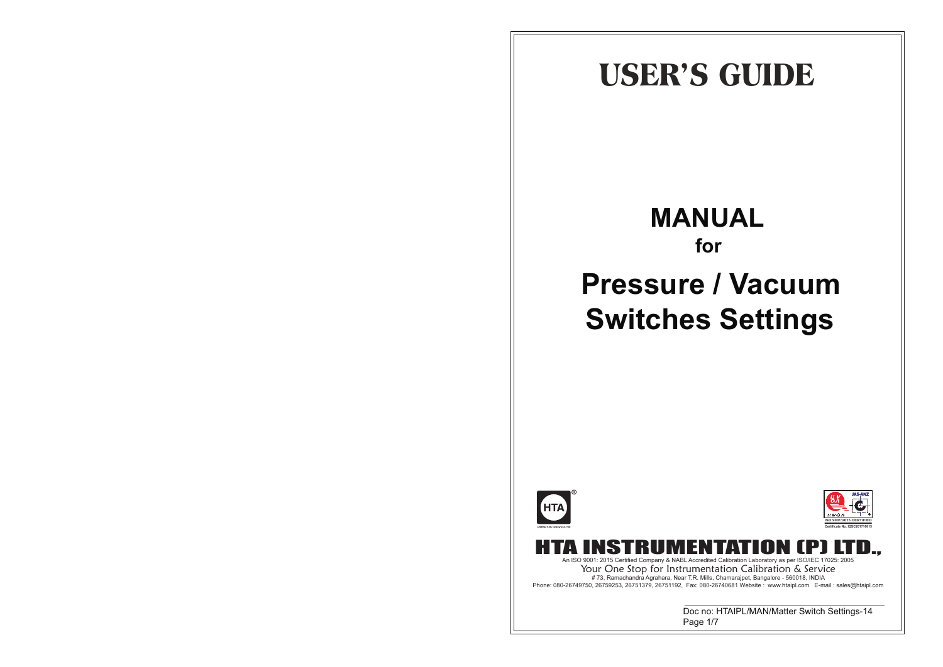## **USER'S GUIDE**

## **MANUAL for Pressure / Vacuum Switches Settings**

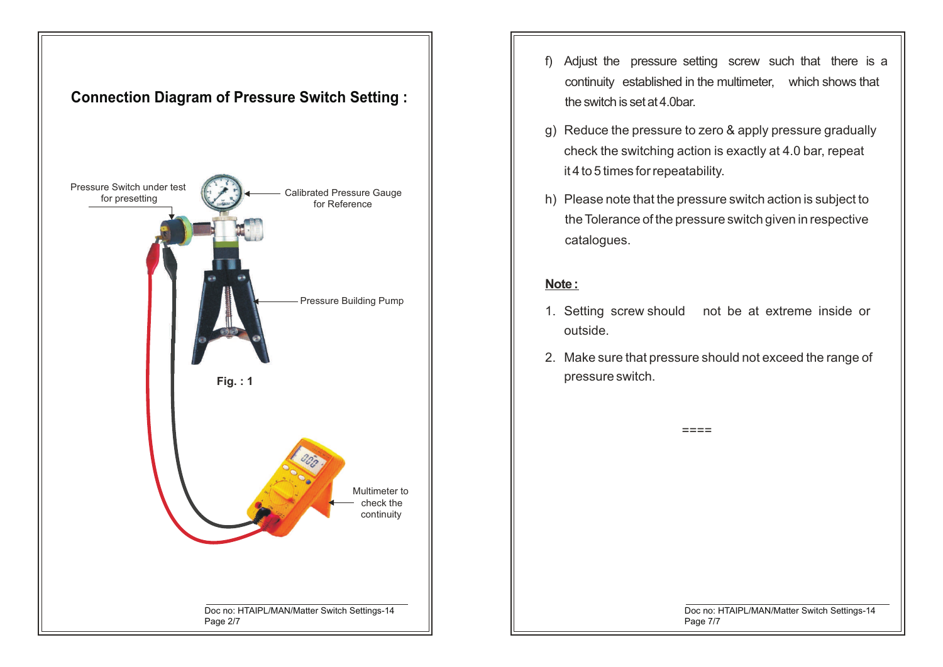

- f) Adjust the pressure setting screw such that there is a continuity established in the multimeter, which shows that the switch is set at 4.0bar.
- g) Reduce the pressure to zero & apply pressure gradually check the switching action is exactly at 4.0 bar, repeat it 4 to 5 times for repeatability.
- h) Please note that the pressure switch action is subject to the Tolerance of the pressure switch given in respective catalogues.

## **Note :**

- 1. Setting screw should not be at extreme inside or outside.
- 2. Make sure that pressure should not exceed the range of pressure switch.

 $=$  $=$  $=$  $=$ 

Doc no: HTAIPL/MAN/Matter Switch Settings-14 Page 7/7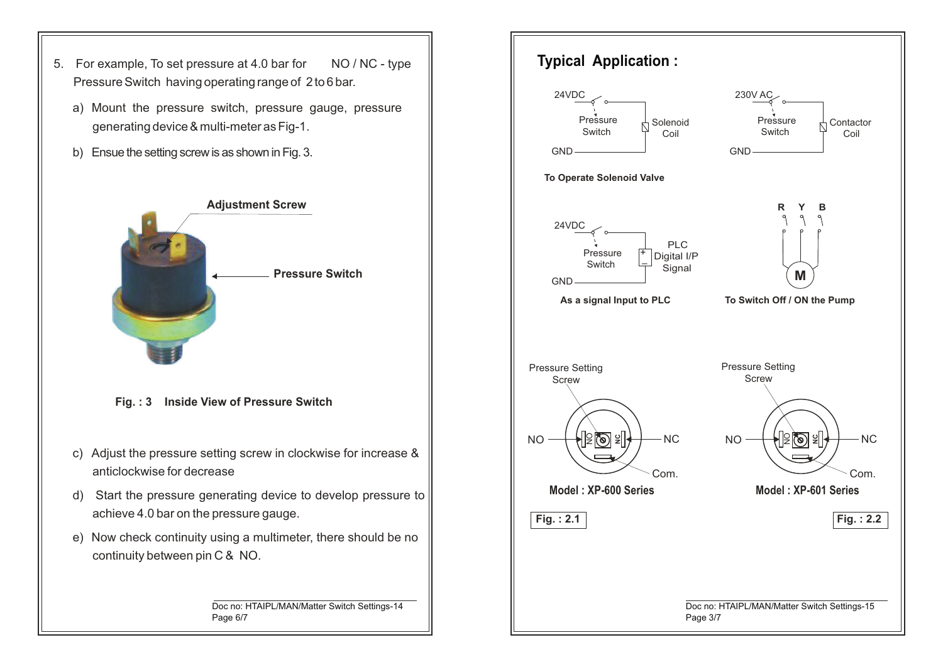- 5. For example, To set pressure at 4.0 bar for NO / NC type Pressure Switch having operating range of 2 to 6 bar.
	- a) Mount the pressure switch, pressure gauge, pressure generating device & multi-meter as Fig-1.
	- b) Ensue the setting screw is as shown in Fig. 3.



**Fig. : 3 Inside View of Pressure Switch**

- c) Adjust the pressure setting screw in clockwise for increase & anticlockwise for decrease
- d) Start the pressure generating device to develop pressure to achieve 4.0 bar on the pressure gauge.
- e) Now check continuity using a multimeter, there should be no continuity between pin C & NO.

Doc no: HTAIPL/MAN/Matter Switch Settings-14 Page 6/7